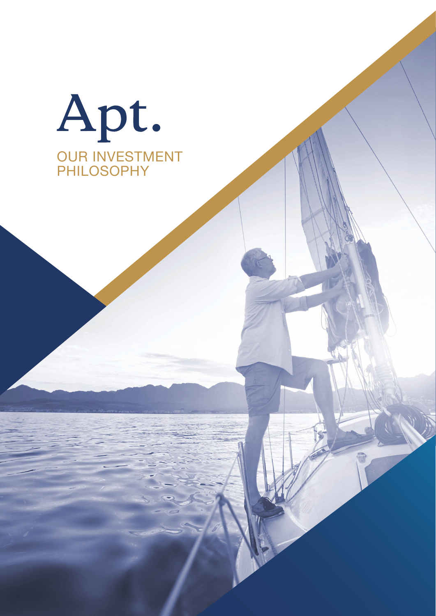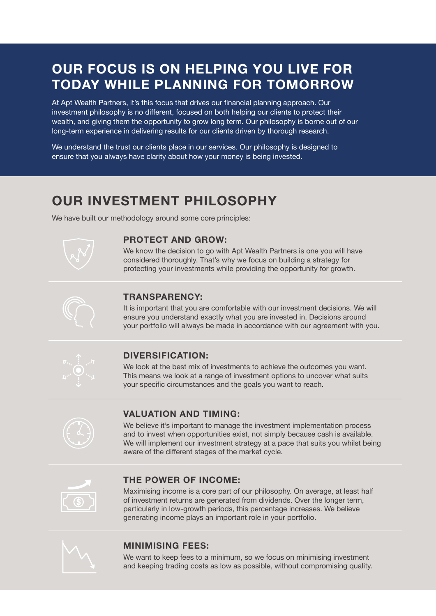# **OUR FOCUS IS ON HELPING YOU LIVE FOR TODAY WHILE PLANNING FOR TOMORROW**

At Apt Wealth Partners, it's this focus that drives our financial planning approach. Our investment philosophy is no different, focused on both helping our clients to protect their wealth, and giving them the opportunity to grow long term. Our philosophy is borne out of our long-term experience in delivering results for our clients driven by thorough research.

We understand the trust our clients place in our services. Our philosophy is designed to ensure that you always have clarity about how your money is being invested.

# **OUR INVESTMENT PHILOSOPHY**

We have built our methodology around some core principles:



# **PROTECT AND GROW:**

We know the decision to go with Apt Wealth Partners is one you will have considered thoroughly. That's why we focus on building a strategy for protecting your investments while providing the opportunity for growth.

### **TRANSPARENCY:**

It is important that you are comfortable with our investment decisions. We will ensure you understand exactly what you are invested in. Decisions around your portfolio will always be made in accordance with our agreement with you.



## **DIVERSIFICATION:**

We look at the best mix of investments to achieve the outcomes you want. This means we look at a range of investment options to uncover what suits your specific circumstances and the goals you want to reach.



## **VALUATION AND TIMING:**

We believe it's important to manage the investment implementation process and to invest when opportunities exist, not simply because cash is available. We will implement our investment strategy at a pace that suits you whilst being aware of the different stages of the market cycle.



# **THE POWER OF INCOME:**

Maximising income is a core part of our philosophy. On average, at least half of investment returns are generated from dividends. Over the longer term, particularly in low-growth periods, this percentage increases. We believe generating income plays an important role in your portfolio.

## **MINIMISING FEES:**

We want to keep fees to a minimum, so we focus on minimising investment and keeping trading costs as low as possible, without compromising quality.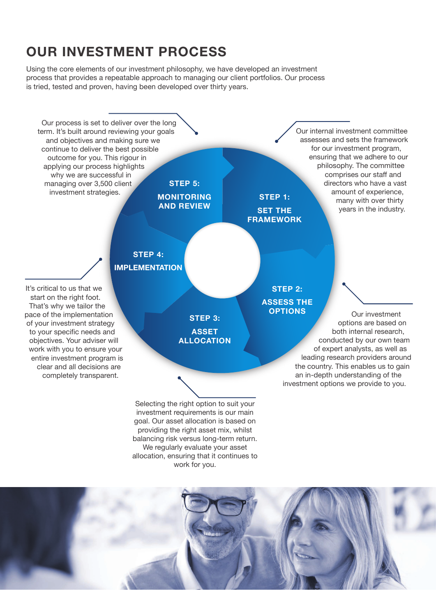# **OUR INVESTMENT PROCESS**

Using the core elements of our investment philosophy, we have developed an investment process that provides a repeatable approach to managing our client portfolios. Our process is tried, tested and proven, having been developed over thirty years.